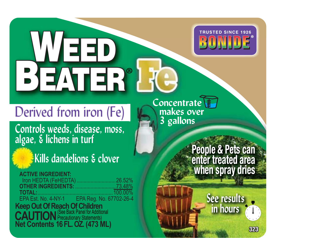

# **WEED<br>BEATER**

# Derived from iron (Fe)

Lontrols weeds, disease, moss,<br>algae, & lichens in turf<br>**Example 3.** People & Peter<br>**Sprays Western Stray**<br>**CONTRIGENTATION algae, & lichens in turf g**

# **Kills dandelions & clover**

**ACTIVE INGREDIENT: ACTIVE** 26.52% **HER INGREDIENTS: OTHER INGREDIENTS:** .............................73.48% **TOTAL:**......................................................100.00% **Keep Out Of Reach Of Children<br><b>CAUTION** Precautionary Statements (See Back Panel for Additional Precautionary Statements) **Net Contents 16 FL. OZ. (473 ML) CONTENTS CONTENTS 323** 

**Concentrate makes over 3 gallons**

## **People & Pets can enter treated area when spray dries**<br> **Peer results**<br> **Peer results**<br> **Peer results enter treated area when spray dries People & can enter treated area p**

**See results in hours**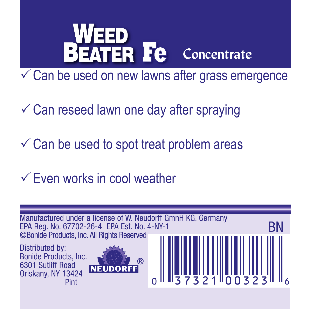

 $\checkmark$  Can be used on new lawns after grass emergence

 $\checkmark$  Can reseed lawn one day after spraying

 $\checkmark$  Can be used to spot treat problem areas

 $\checkmark$  Even works in cool weather

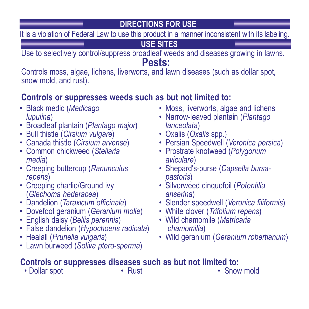**DIRECTIONS FOR USE**

It is a violation of Federal Law to use this product in a manner inconsistent with its labeling

**USE SITES**

Use to selectively control/suppress broadleaf weeds and diseases growing in lawns.

## **Pests:**

Controls moss, algae, lichens, liverworts, and lawn diseases (such as dollar spot, snow mold, and rust).

### **Controls or suppresses weeds such as but not limited to:**

- Black medic (*Medicago lupulina*)
- 
- 
- 
- Bull thistle (*Cirsium vulgare*)<br>• Canada thistle (*Cirsium arvense*)<br>• Common chickweed (*Stellaria media*)<br>• *Creeping buttercup (Ranunculus repens*)
- 
- Creeping charlie/Ground ivy (*Glechoma hederacea*)
- Dandelion (*Taraxicum officinale*)
- Dovefoot geranium (*Geranium molle*) English daisy (*Bellis perennis*)
- 
- False dandelion (*Hypochoeris radicata*)
- Healall (*Prunella vulgaris*)
- Lawn burweed (*Soliva ptero-sperma*)
- Moss, liverworts, algae and lichens
- Narrow-leaved plantain (*Plantago*
- 
- 
- *lanceolata*) Oxalis (*Oxalis* spp.) Persian Speedwell (*Veronica persica*) Prostrate knotweed (*Polygonum aviculare*) Shepard's-purse (*Capsella bursa-*
- *pastoris*)
- Silverweed cinquefoil (*Potentilla anserina*)
- Slender speedwell (*Veronica filiformis*)
- White clover (*Trifolium repens*) Wild chamomile (*Matricaria*
- *chamomilla*)
- Wild geranium (*Geranium robertianum*)

## **Controls or suppresses diseases such as but not limited to:**<br>
• Dollar spot **·** Rust **· Conduct <b>·** Snow mold

• Dollar spot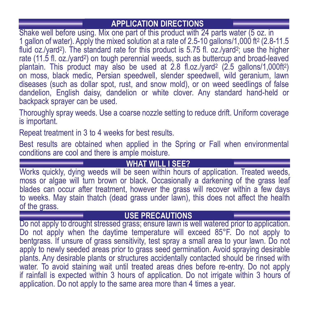### **APPLICATION DIRECTIONS**

Shake well before using. Mix one part of this product with 24 parts water (5 oz. in 1 gallon of water). Apply the mixed solution at a rate of 2.5-10 gallons/1,000 ft2 (2.8-11.5 fluid oz./vard<sup>2</sup>). The standard rate for this product is 5.75 fl. oz./vard<sup>2</sup>; use the higher rate (11.5 fl. oz./yard2) on tough perennial weeds, such as buttercup and broad-leaved plantain. This product may also be used at 2.8 fl.oz./yard<sup>2</sup> (2.5 gallons/1,000ft<sup>2</sup>) on moss, black medic, Persian speedwell, slender speedwell, wild geranium, lawn diseases (such as dollar spot, rust, and snow mold), or on weed seedlings of false dandelion, English daisy, dandelion or white clover. Any standard hand-held or backpack sprayer can be used.

Thoroughly spray weeds. Use a coarse nozzle setting to reduce drift. Uniform coverage is important.

Repeat treatment in 3 to 4 weeks for best results.

Best results are obtained when applied in the Spring or Fall when environmental conditions are cool and there is ample moisture.

**WHAT WILL I SEE?** Works quickly, dying weeds will be seen within hours of application. Treated weeds, moss or algae will turn brown or black. Occasionally a darkening of the grass leaf blades can occur after treatment, however the grass will recover within a few days to weeks. May stain thatch (dead grass under lawn), this does not affect the health of the grass.

**USE PRECAUTIONS**<br>Do not apply to drought stressed grass; ensure lawn is well watered prior to application. Do not apply when the daytime temperature will exceed 85°F. Do not apply to bentgrass. If unsure of grass sensitivity, test spray a small area to your lawn. Do not apply to newly seeded areas prior to grass seed germination. Avoid spraying desirable plants. Any desirable plants or structures accidentally contacted should be rinsed with water. To avoid staining wait until treated areas dries before re-entry. Do not apply if rainfall is expected within 3 hours of application. Do not irrigate within 3 hours of application. Do not apply to the same area more than 4 times a year.